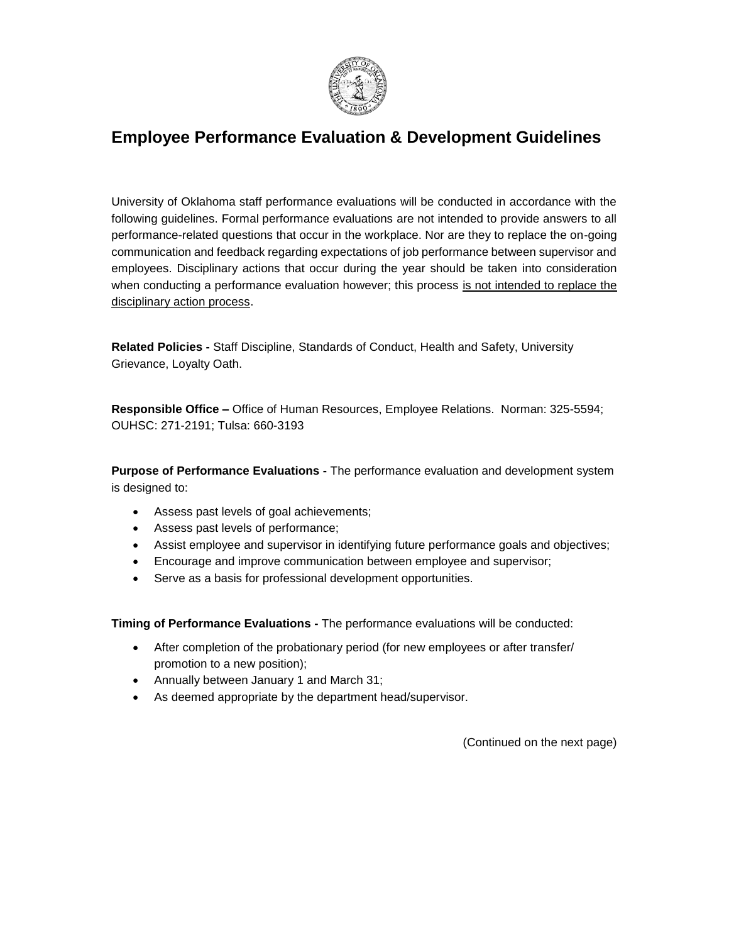

## **Employee Performance Evaluation & Development Guidelines**

University of Oklahoma staff performance evaluations will be conducted in accordance with the following guidelines. Formal performance evaluations are not intended to provide answers to all performance-related questions that occur in the workplace. Nor are they to replace the on-going communication and feedback regarding expectations of job performance between supervisor and employees. Disciplinary actions that occur during the year should be taken into consideration when conducting a performance evaluation however; this process is not intended to replace the disciplinary action process.

**Related Policies -** Staff Discipline, Standards of Conduct, Health and Safety, University Grievance, Loyalty Oath.

**Responsible Office –** Office of Human Resources, Employee Relations. Norman: 325-5594; OUHSC: 271-2191; Tulsa: 660-3193

**Purpose of Performance Evaluations -** The performance evaluation and development system is designed to:

- Assess past levels of goal achievements;
- Assess past levels of performance;
- Assist employee and supervisor in identifying future performance goals and objectives;
- Encourage and improve communication between employee and supervisor;
- Serve as a basis for professional development opportunities.

**Timing of Performance Evaluations -** The performance evaluations will be conducted:

- After completion of the probationary period (for new employees or after transfer/ promotion to a new position);
- Annually between January 1 and March 31;
- As deemed appropriate by the department head/supervisor.

(Continued on the next page)